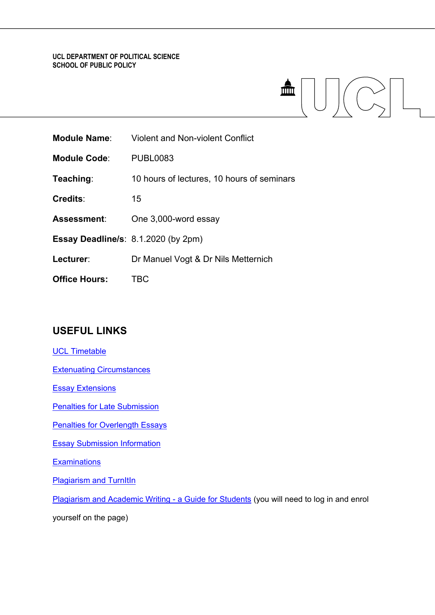# **UCL DEPARTMENT OF POLITICAL SCIENCE SCHOOL OF PUBLIC POLICY**

|                     |                                         | Ш |
|---------------------|-----------------------------------------|---|
| <b>Module Name:</b> | <b>Violent and Non-violent Conflict</b> |   |
| <b>Module Code:</b> | <b>PUBL0083</b>                         |   |
|                     |                                         |   |

**Teaching**: 10 hours of lectures, 10 hours of seminars

**Credits**: 15

**Assessment**: One 3,000-word essay

**Essay Deadline/s**: 8.1.2020 (by 2pm)

- **Lecturer**: Dr Manuel Vogt & Dr Nils Metternich
- **Office Hours:** TBC

# **USEFUL LINKS**

[UCL Timetable](https://timetable.ucl.ac.uk/tt/homePage.do)

[Extenuating Circumstances](https://www.ucl.ac.uk/academic-manual/chapters/chapter-4-assessment-framework-taught-programmes/section-6-extenuating-circumstances)

[Essay Extensions](https://www.ucl.ac.uk/academic-manual/chapters/chapter-4-assessment-framework-taught-programmes/section-6-extenuating-circumstances#6.2)

[Penalties for Late Submission](https://www.ucl.ac.uk/academic-manual/chapters/chapter-4-assessment-framework-taught-programmes/section-3-module-assessment#3.12)

**[Penalties for Overlength Essays](https://moodle-1819.ucl.ac.uk/course/view.php?id=12189)** 

[Essay Submission Information](https://moodle-1819.ucl.ac.uk/course/view.php?id=12189)

**[Examinations](https://www.ucl.ac.uk/students/exams-and-assessments)** 

**[Plagiarism and TurnItIn](https://www.ucl.ac.uk/students/exams-and-assessments/plagiarism)** 

[Plagiarism and Academic Writing -](https://moodle-1819.ucl.ac.uk/course/view.php?id=34) a Guide for Students (you will need to log in and enrol

yourself on the page)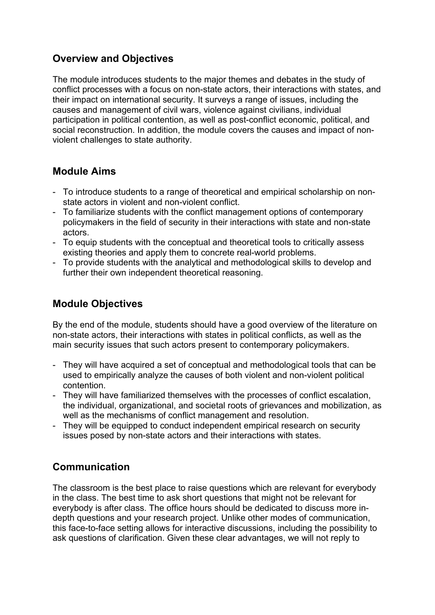# **Overview and Objectives**

The module introduces students to the major themes and debates in the study of conflict processes with a focus on non-state actors, their interactions with states, and their impact on international security. It surveys a range of issues, including the causes and management of civil wars, violence against civilians, individual participation in political contention, as well as post-conflict economic, political, and social reconstruction. In addition, the module covers the causes and impact of nonviolent challenges to state authority.

# **Module Aims**

- To introduce students to a range of theoretical and empirical scholarship on nonstate actors in violent and non-violent conflict.
- To familiarize students with the conflict management options of contemporary policymakers in the field of security in their interactions with state and non-state actors.
- To equip students with the conceptual and theoretical tools to critically assess existing theories and apply them to concrete real-world problems.
- To provide students with the analytical and methodological skills to develop and further their own independent theoretical reasoning.

# **Module Objectives**

By the end of the module, students should have a good overview of the literature on non-state actors, their interactions with states in political conflicts, as well as the main security issues that such actors present to contemporary policymakers.

- They will have acquired a set of conceptual and methodological tools that can be used to empirically analyze the causes of both violent and non-violent political contention.
- They will have familiarized themselves with the processes of conflict escalation, the individual, organizational, and societal roots of grievances and mobilization, as well as the mechanisms of conflict management and resolution.
- They will be equipped to conduct independent empirical research on security issues posed by non-state actors and their interactions with states.

# **Communication**

The classroom is the best place to raise questions which are relevant for everybody in the class. The best time to ask short questions that might not be relevant for everybody is after class. The office hours should be dedicated to discuss more indepth questions and your research project. Unlike other modes of communication, this face-to-face setting allows for interactive discussions, including the possibility to ask questions of clarification. Given these clear advantages, we will not reply to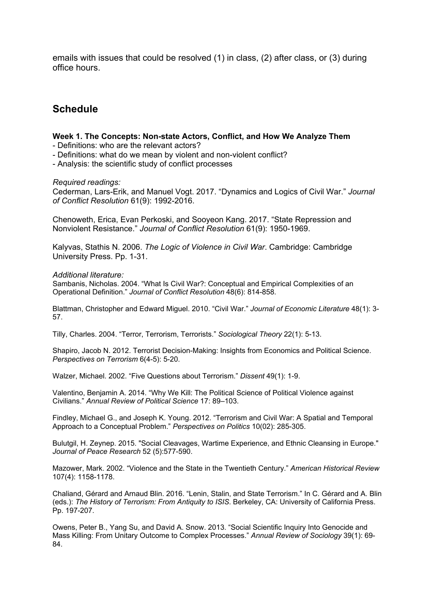emails with issues that could be resolved (1) in class, (2) after class, or (3) during office hours.

# **Schedule**

# **Week 1. The Concepts: Non-state Actors, Conflict, and How We Analyze Them**

- Definitions: who are the relevant actors?

- Definitions: what do we mean by violent and non-violent conflict?

- Analysis: the scientific study of conflict processes

### *Required readings:*

Cederman, Lars-Erik, and Manuel Vogt. 2017. "Dynamics and Logics of Civil War." *Journal of Conflict Resolution* 61(9): 1992-2016.

Chenoweth, Erica, Evan Perkoski, and Sooyeon Kang. 2017. "State Repression and Nonviolent Resistance." *Journal of Conflict Resolution* 61(9): 1950-1969.

Kalyvas, Stathis N. 2006. *The Logic of Violence in Civil War*. Cambridge: Cambridge University Press. Pp. 1-31.

### *Additional literature:*

Sambanis, Nicholas. 2004. "What Is Civil War?: Conceptual and Empirical Complexities of an Operational Definition." *Journal of Conflict Resolution* 48(6): 814-858.

Blattman, Christopher and Edward Miguel. 2010. "Civil War." *Journal of Economic Literature* 48(1): 3- 57.

Tilly, Charles. 2004. "Terror, Terrorism, Terrorists." *Sociological Theory* 22(1): 5-13.

Shapiro, Jacob N. 2012. Terrorist Decision-Making: Insights from Economics and Political Science. *Perspectives on Terrorism* 6(4-5): 5-20.

Walzer, Michael. 2002. "Five Questions about Terrorism." *Dissent* 49(1): 1-9.

Valentino, Benjamin A. 2014. "Why We Kill: The Political Science of Political Violence against Civilians." *Annual Review of Political Science* 17: 89–103.

Findley, Michael G., and Joseph K. Young. 2012. "Terrorism and Civil War: A Spatial and Temporal Approach to a Conceptual Problem." *Perspectives on Politics* 10(02): 285-305.

Bulutgil, H. Zeynep. 2015. "Social Cleavages, Wartime Experience, and Ethnic Cleansing in Europe." *Journal of Peace Research* 52 (5):577-590.

Mazower, Mark. 2002. "Violence and the State in the Twentieth Century." *American Historical Review* 107(4): 1158-1178.

Chaliand, Gérard and Arnaud Blin. 2016. "Lenin, Stalin, and State Terrorism." In C. Gérard and A. Blin (eds.): *The History of Terrorism: From Antiquity to ISIS*. Berkeley, CA: University of California Press. Pp. 197-207.

Owens, Peter B., Yang Su, and David A. Snow. 2013. "Social Scientific Inquiry Into Genocide and Mass Killing: From Unitary Outcome to Complex Processes." *Annual Review of Sociology* 39(1): 69- 84.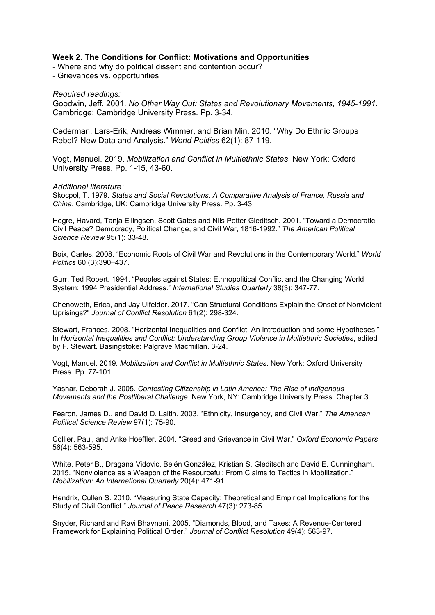# **Week 2. The Conditions for Conflict: Motivations and Opportunities**

- Where and why do political dissent and contention occur?

- Grievances vs. opportunities

*Required readings:*

Goodwin, Jeff. 2001. *No Other Way Out: States and Revolutionary Movements, 1945-1991*. Cambridge: Cambridge University Press. Pp. 3-34.

Cederman, Lars-Erik, Andreas Wimmer, and Brian Min. 2010. "Why Do Ethnic Groups Rebel? New Data and Analysis." *World Politics* 62(1): 87-119.

Vogt, Manuel. 2019. *Mobilization and Conflict in Multiethnic States*. New York: Oxford University Press. Pp. 1-15, 43-60.

### *Additional literature:*

Skocpol, T. 1979. *States and Social Revolutions: A Comparative Analysis of France, Russia and China*. Cambridge, UK: Cambridge University Press. Pp. 3-43.

Hegre, Havard, Tanja Ellingsen, Scott Gates and Nils Petter Gleditsch. 2001. "Toward a Democratic Civil Peace? Democracy, Political Change, and Civil War, 1816-1992." *The American Political Science Review* 95(1): 33-48.

Boix, Carles. 2008. "Economic Roots of Civil War and Revolutions in the Contemporary World." *World Politics* 60 (3):390–437.

Gurr, Ted Robert. 1994. "Peoples against States: Ethnopolitical Conflict and the Changing World System: 1994 Presidential Address." *International Studies Quarterly* 38(3): 347-77.

Chenoweth, Erica, and Jay Ulfelder. 2017. "Can Structural Conditions Explain the Onset of Nonviolent Uprisings?" *Journal of Conflict Resolution* 61(2): 298-324.

Stewart, Frances. 2008. "Horizontal Inequalities and Conflict: An Introduction and some Hypotheses." In *Horizontal Inequalities and Conflict: Understanding Group Violence in Multiethnic Societies*, edited by F. Stewart. Basingstoke: Palgrave Macmillan. 3-24.

Vogt, Manuel. 2019. *Mobilization and Conflict in Multiethnic States*. New York: Oxford University Press. Pp. 77-101.

Yashar, Deborah J. 2005. *Contesting Citizenship in Latin America: The Rise of Indigenous Movements and the Postliberal Challenge*. New York, NY: Cambridge University Press. Chapter 3.

Fearon, James D., and David D. Laitin. 2003. "Ethnicity, Insurgency, and Civil War." *The American Political Science Review* 97(1): 75-90.

Collier, Paul, and Anke Hoeffler. 2004. "Greed and Grievance in Civil War." *Oxford Economic Papers* 56(4): 563-595.

White, Peter B., Dragana Vidovic, Belén González, Kristian S. Gleditsch and David E. Cunningham. 2015. "Nonviolence as a Weapon of the Resourceful: From Claims to Tactics in Mobilization." *Mobilization: An International Quarterly* 20(4): 471-91.

Hendrix, Cullen S. 2010. "Measuring State Capacity: Theoretical and Empirical Implications for the Study of Civil Conflict." *Journal of Peace Research* 47(3): 273-85.

Snyder, Richard and Ravi Bhavnani. 2005. "Diamonds, Blood, and Taxes: A Revenue-Centered Framework for Explaining Political Order." *Journal of Conflict Resolution* 49(4): 563-97.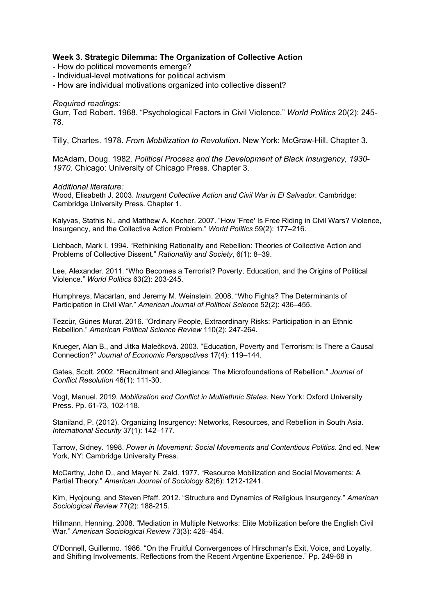# **Week 3. Strategic Dilemma: The Organization of Collective Action**

- How do political movements emerge?
- Individual-level motivations for political activism
- How are individual motivations organized into collective dissent?

### *Required readings:*

Gurr, Ted Robert. 1968. "Psychological Factors in Civil Violence." *World Politics* 20(2): 245- 78.

Tilly, Charles. 1978. *From Mobilization to Revolution*. New York: McGraw-Hill. Chapter 3.

McAdam, Doug. 1982. *Political Process and the Development of Black Insurgency, 1930- 1970*. Chicago: University of Chicago Press. Chapter 3.

#### *Additional literature:*

Wood, Elisabeth J. 2003. *Insurgent Collective Action and Civil War in El Salvador*. Cambridge: Cambridge University Press. Chapter 1.

Kalyvas, Stathis N., and Matthew A. Kocher. 2007. "How 'Free' Is Free Riding in Civil Wars? Violence, Insurgency, and the Collective Action Problem." *World Politics* 59(2): 177–216.

Lichbach, Mark I. 1994. "Rethinking Rationality and Rebellion: Theories of Collective Action and Problems of Collective Dissent." *Rationality and Society*, 6(1): 8–39.

Lee, Alexander. 2011. "Who Becomes a Terrorist? Poverty, Education, and the Origins of Political Violence." *World Politics* 63(2): 203-245.

Humphreys, Macartan, and Jeremy M. Weinstein. 2008. "Who Fights? The Determinants of Participation in Civil War." *American Journal of Political Science* 52(2): 436–455.

Tezcür, Günes Murat. 2016. "Ordinary People, Extraordinary Risks: Participation in an Ethnic Rebellion." *American Political Science Review* 110(2): 247-264.

Krueger, Alan B., and Jitka Malečková. 2003. "Education, Poverty and Terrorism: Is There a Causal Connection?" *Journal of Economic Perspectives* 17(4): 119–144.

Gates, Scott. 2002. "Recruitment and Allegiance: The Microfoundations of Rebellion." *Journal of Conflict Resolution* 46(1): 111-30.

Vogt, Manuel. 2019. *Mobilization and Conflict in Multiethnic States*. New York: Oxford University Press. Pp. 61-73, 102-118.

Staniland, P. (2012). Organizing Insurgency: Networks, Resources, and Rebellion in South Asia. *International Security* 37(1): 142–177.

Tarrow, Sidney. 1998. *Power in Movement: Social Movements and Contentious Politics*. 2nd ed. New York, NY: Cambridge University Press.

McCarthy, John D., and Mayer N. Zald. 1977. "Resource Mobilization and Social Movements: A Partial Theory." *American Journal of Sociology* 82(6): 1212-1241.

Kim, Hyojoung, and Steven Pfaff. 2012. "Structure and Dynamics of Religious Insurgency." *American Sociological Review* 77(2): 188-215.

Hillmann, Henning. 2008. "Mediation in Multiple Networks: Elite Mobilization before the English Civil War." *American Sociological Review* 73(3): 426–454.

O'Donnell, Guillermo. 1986. "On the Fruitful Convergences of Hirschman's Exit, Voice, and Loyalty, and Shifting Involvements. Reflections from the Recent Argentine Experience." Pp. 249-68 in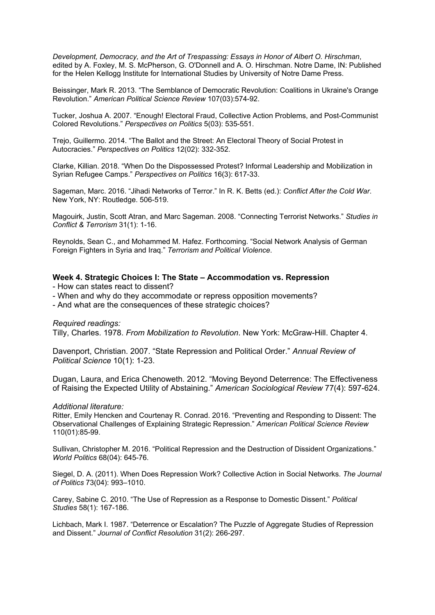*Development, Democracy, and the Art of Trespassing: Essays in Honor of Albert O. Hirschman*, edited by A. Foxley, M. S. McPherson, G. O'Donnell and A. O. Hirschman. Notre Dame, IN: Published for the Helen Kellogg Institute for International Studies by University of Notre Dame Press.

Beissinger, Mark R. 2013. "The Semblance of Democratic Revolution: Coalitions in Ukraine's Orange Revolution." *American Political Science Review* 107(03):574-92.

Tucker, Joshua A. 2007. "Enough! Electoral Fraud, Collective Action Problems, and Post-Communist Colored Revolutions." *Perspectives on Politics* 5(03): 535-551.

Trejo, Guillermo. 2014. "The Ballot and the Street: An Electoral Theory of Social Protest in Autocracies." *Perspectives on Politics* 12(02): 332-352.

Clarke, Killian. 2018. "When Do the Dispossessed Protest? Informal Leadership and Mobilization in Syrian Refugee Camps." *Perspectives on Politics* 16(3): 617-33.

Sageman, Marc. 2016. "Jihadi Networks of Terror." In R. K. Betts (ed.): *Conflict After the Cold War*. New York, NY: Routledge. 506-519.

Magouirk, Justin, Scott Atran, and Marc Sageman. 2008. "Connecting Terrorist Networks." *Studies in Conflict & Terrorism* 31(1): 1-16.

Reynolds, Sean C., and Mohammed M. Hafez. Forthcoming. "Social Network Analysis of German Foreign Fighters in Syria and Iraq." *Terrorism and Political Violence*.

# **Week 4. Strategic Choices I: The State – Accommodation vs. Repression**

- How can states react to dissent?

- When and why do they accommodate or repress opposition movements?
- And what are the consequences of these strategic choices?

*Required readings:*

Tilly, Charles. 1978. *From Mobilization to Revolution*. New York: McGraw-Hill. Chapter 4.

Davenport, Christian. 2007. "State Repression and Political Order." *Annual Review of Political Science* 10(1): 1-23.

Dugan, Laura, and Erica Chenoweth. 2012. "Moving Beyond Deterrence: The Effectiveness of Raising the Expected Utility of Abstaining." *American Sociological Review* 77(4): 597-624.

#### *Additional literature:*

Ritter, Emily Hencken and Courtenay R. Conrad. 2016. "Preventing and Responding to Dissent: The Observational Challenges of Explaining Strategic Repression." *American Political Science Review* 110(01):85-99.

Sullivan, Christopher M. 2016. "Political Repression and the Destruction of Dissident Organizations." *World Politics* 68(04): 645-76.

Siegel, D. A. (2011). When Does Repression Work? Collective Action in Social Networks. *The Journal of Politics* 73(04): 993–1010.

Carey, Sabine C. 2010. "The Use of Repression as a Response to Domestic Dissent." *Political Studies* 58(1): 167-186.

Lichbach, Mark I. 1987. "Deterrence or Escalation? The Puzzle of Aggregate Studies of Repression and Dissent." *Journal of Conflict Resolution* 31(2): 266-297.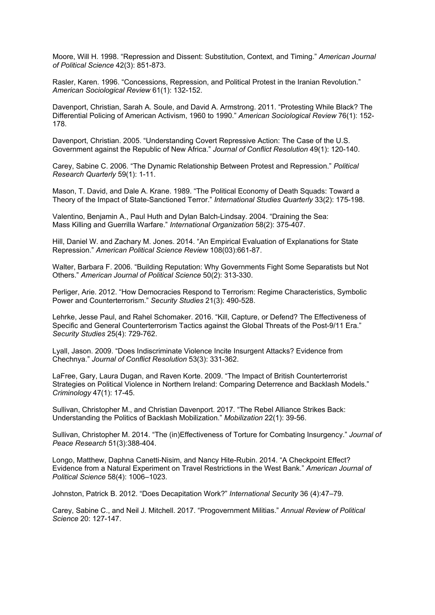Moore, Will H. 1998. "Repression and Dissent: Substitution, Context, and Timing." *American Journal of Political Science* 42(3): 851-873.

Rasler, Karen. 1996. "Concessions, Repression, and Political Protest in the Iranian Revolution." *American Sociological Review* 61(1): 132-152.

Davenport, Christian, Sarah A. Soule, and David A. Armstrong. 2011. "Protesting While Black? The Differential Policing of American Activism, 1960 to 1990." *American Sociological Review* 76(1): 152- 178.

Davenport, Christian. 2005. "Understanding Covert Repressive Action: The Case of the U.S. Government against the Republic of New Africa." *Journal of Conflict Resolution* 49(1): 120-140.

Carey, Sabine C. 2006. "The Dynamic Relationship Between Protest and Repression." *Political Research Quarterly* 59(1): 1-11.

Mason, T. David, and Dale A. Krane. 1989. "The Political Economy of Death Squads: Toward a Theory of the Impact of State-Sanctioned Terror." *International Studies Quarterly* 33(2): 175-198.

Valentino, Benjamin A., Paul Huth and Dylan Balch-Lindsay. 2004. "Draining the Sea: Mass Killing and Guerrilla Warfare." *International Organization* 58(2): 375-407.

Hill, Daniel W. and Zachary M. Jones. 2014. "An Empirical Evaluation of Explanations for State Repression." *American Political Science Review* 108(03):661-87.

Walter, Barbara F. 2006. "Building Reputation: Why Governments Fight Some Separatists but Not Others." *American Journal of Political Science* 50(2): 313-330.

Perliger, Arie. 2012. "How Democracies Respond to Terrorism: Regime Characteristics, Symbolic Power and Counterterrorism." *Security Studies* 21(3): 490-528.

Lehrke, Jesse Paul, and Rahel Schomaker. 2016. "Kill, Capture, or Defend? The Effectiveness of Specific and General Counterterrorism Tactics against the Global Threats of the Post-9/11 Era." *Security Studies* 25(4): 729-762.

Lyall, Jason. 2009. "Does Indiscriminate Violence Incite Insurgent Attacks? Evidence from Chechnya." *Journal of Conflict Resolution* 53(3): 331-362.

LaFree, Gary, Laura Dugan, and Raven Korte. 2009. "The Impact of British Counterterrorist Strategies on Political Violence in Northern Ireland: Comparing Deterrence and Backlash Models." *Criminology* 47(1): 17-45.

Sullivan, Christopher M., and Christian Davenport. 2017. "The Rebel Alliance Strikes Back: Understanding the Politics of Backlash Mobilization." *Mobilization* 22(1): 39-56.

Sullivan, Christopher M. 2014. "The (in)Effectiveness of Torture for Combating Insurgency." *Journal of Peace Research* 51(3):388-404.

Longo, Matthew, Daphna Canetti-Nisim, and Nancy Hite-Rubin. 2014. "A Checkpoint Effect? Evidence from a Natural Experiment on Travel Restrictions in the West Bank." *American Journal of Political Science* 58(4): 1006–1023.

Johnston, Patrick B. 2012. "Does Decapitation Work?" *International Security* 36 (4):47–79.

Carey, Sabine C., and Neil J. Mitchell. 2017. "Progovernment Militias." *Annual Review of Political Science* 20: 127-147.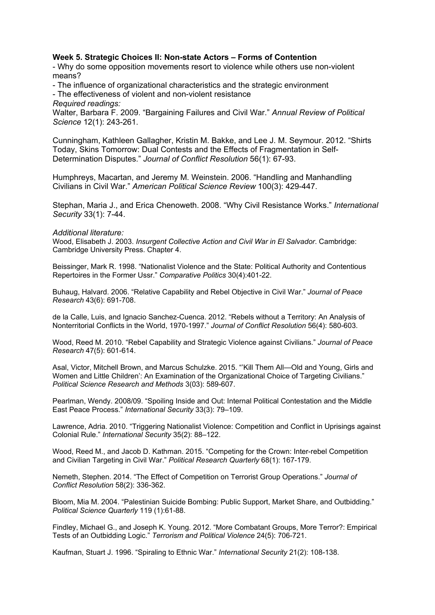# **Week 5. Strategic Choices II: Non-state Actors – Forms of Contention**

- Why do some opposition movements resort to violence while others use non-violent means?

- The influence of organizational characteristics and the strategic environment

- The effectiveness of violent and non-violent resistance

*Required readings:*

Walter, Barbara F. 2009. "Bargaining Failures and Civil War." *Annual Review of Political Science* 12(1): 243-261.

Cunningham, Kathleen Gallagher, Kristin M. Bakke, and Lee J. M. Seymour. 2012. "Shirts Today, Skins Tomorrow: Dual Contests and the Effects of Fragmentation in Self-Determination Disputes." *Journal of Conflict Resolution* 56(1): 67-93.

Humphreys, Macartan, and Jeremy M. Weinstein. 2006. "Handling and Manhandling Civilians in Civil War." *American Political Science Review* 100(3): 429-447.

Stephan, Maria J., and Erica Chenoweth. 2008. "Why Civil Resistance Works." *International Security* 33(1): 7-44.

### *Additional literature:*

Wood, Elisabeth J. 2003. *Insurgent Collective Action and Civil War in El Salvador*. Cambridge: Cambridge University Press. Chapter 4.

Beissinger, Mark R. 1998. "Nationalist Violence and the State: Political Authority and Contentious Repertoires in the Former Ussr." *Comparative Politics* 30(4):401-22.

Buhaug, Halvard. 2006. "Relative Capability and Rebel Objective in Civil War." *Journal of Peace Research* 43(6): 691-708.

de la Calle, Luis, and Ignacio Sanchez-Cuenca. 2012. "Rebels without a Territory: An Analysis of Nonterritorial Conflicts in the World, 1970-1997." *Journal of Conflict Resolution* 56(4): 580-603.

Wood, Reed M. 2010. "Rebel Capability and Strategic Violence against Civilians." *Journal of Peace Research* 47(5): 601-614.

Asal, Victor, Mitchell Brown, and Marcus Schulzke. 2015. "'Kill Them All—Old and Young, Girls and Women and Little Children': An Examination of the Organizational Choice of Targeting Civilians." *Political Science Research and Methods* 3(03): 589-607.

Pearlman, Wendy. 2008/09. "Spoiling Inside and Out: Internal Political Contestation and the Middle East Peace Process." *International Security* 33(3): 79–109.

Lawrence, Adria. 2010. "Triggering Nationalist Violence: Competition and Conflict in Uprisings against Colonial Rule." *International Security* 35(2): 88–122.

Wood, Reed M., and Jacob D. Kathman. 2015. "Competing for the Crown: Inter-rebel Competition and Civilian Targeting in Civil War." *Political Research Quarterly* 68(1): 167-179.

Nemeth, Stephen. 2014. "The Effect of Competition on Terrorist Group Operations." *Journal of Conflict Resolution* 58(2): 336-362.

Bloom, Mia M. 2004. "Palestinian Suicide Bombing: Public Support, Market Share, and Outbidding." *Political Science Quarterly* 119 (1):61-88.

Findley, Michael G., and Joseph K. Young. 2012. "More Combatant Groups, More Terror?: Empirical Tests of an Outbidding Logic." *Terrorism and Political Violence* 24(5): 706-721.

Kaufman, Stuart J. 1996. "Spiraling to Ethnic War." *International Security* 21(2): 108-138.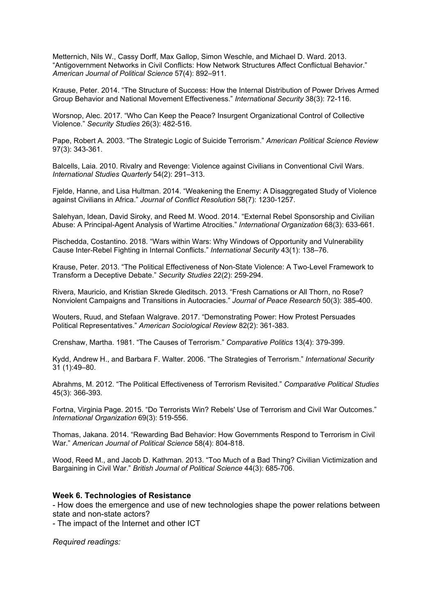Metternich, Nils W., Cassy Dorff, Max Gallop, Simon Weschle, and Michael D. Ward. 2013. "Antigovernment Networks in Civil Conflicts: How Network Structures Affect Conflictual Behavior." *American Journal of Political Science* 57(4): 892–911.

Krause, Peter. 2014. "The Structure of Success: How the Internal Distribution of Power Drives Armed Group Behavior and National Movement Effectiveness." *International Security* 38(3): 72-116.

Worsnop, Alec. 2017. "Who Can Keep the Peace? Insurgent Organizational Control of Collective Violence." *Security Studies* 26(3): 482-516.

Pape, Robert A. 2003. "The Strategic Logic of Suicide Terrorism." *American Political Science Review* 97(3): 343-361.

Balcells, Laia. 2010. Rivalry and Revenge: Violence against Civilians in Conventional Civil Wars. *International Studies Quarterly* 54(2): 291–313.

Fjelde, Hanne, and Lisa Hultman. 2014. "Weakening the Enemy: A Disaggregated Study of Violence against Civilians in Africa." *Journal of Conflict Resolution* 58(7): 1230-1257.

Salehyan, Idean, David Siroky, and Reed M. Wood. 2014. "External Rebel Sponsorship and Civilian Abuse: A Principal-Agent Analysis of Wartime Atrocities." *International Organization* 68(3): 633-661.

Pischedda, Costantino. 2018. "Wars within Wars: Why Windows of Opportunity and Vulnerability Cause Inter-Rebel Fighting in Internal Conflicts." *International Security* 43(1): 138–76.

Krause, Peter. 2013. "The Political Effectiveness of Non-State Violence: A Two-Level Framework to Transform a Deceptive Debate." *Security Studies* 22(2): 259-294.

Rivera, Mauricio, and Kristian Skrede Gleditsch. 2013. "Fresh Carnations or All Thorn, no Rose? Nonviolent Campaigns and Transitions in Autocracies." *Journal of Peace Research* 50(3): 385-400.

Wouters, Ruud, and Stefaan Walgrave. 2017. "Demonstrating Power: How Protest Persuades Political Representatives." *American Sociological Review* 82(2): 361-383.

Crenshaw, Martha. 1981. "The Causes of Terrorism." *Comparative Politics* 13(4): 379-399.

Kydd, Andrew H., and Barbara F. Walter. 2006. "The Strategies of Terrorism." *International Security* 31 (1):49–80.

Abrahms, M. 2012. "The Political Effectiveness of Terrorism Revisited." *Comparative Political Studies* 45(3): 366-393.

Fortna, Virginia Page. 2015. "Do Terrorists Win? Rebels' Use of Terrorism and Civil War Outcomes." *International Organization* 69(3): 519-556.

Thomas, Jakana. 2014. "Rewarding Bad Behavior: How Governments Respond to Terrorism in Civil War." *American Journal of Political Science* 58(4): 804-818.

Wood, Reed M., and Jacob D. Kathman. 2013. "Too Much of a Bad Thing? Civilian Victimization and Bargaining in Civil War." *British Journal of Political Science* 44(3): 685-706.

### **Week 6. Technologies of Resistance**

- How does the emergence and use of new technologies shape the power relations between state and non-state actors?

- The impact of the Internet and other ICT

*Required readings:*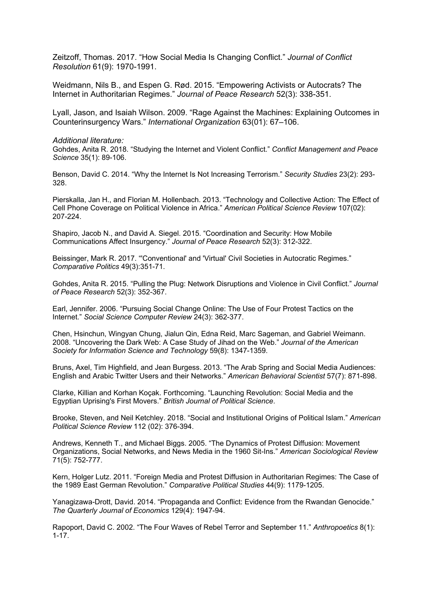Zeitzoff, Thomas. 2017. "How Social Media Is Changing Conflict." *Journal of Conflict Resolution* 61(9): 1970-1991.

Weidmann, Nils B., and Espen G. Rød. 2015. "Empowering Activists or Autocrats? The Internet in Authoritarian Regimes." *Journal of Peace Research* 52(3): 338-351.

Lyall, Jason, and Isaiah Wilson. 2009. "Rage Against the Machines: Explaining Outcomes in Counterinsurgency Wars." *International Organization* 63(01): 67–106.

*Additional literature:*

Gohdes, Anita R. 2018. "Studying the Internet and Violent Conflict." *Conflict Management and Peace Science* 35(1): 89-106.

Benson, David C. 2014. "Why the Internet Is Not Increasing Terrorism." *Security Studies* 23(2): 293- 328.

Pierskalla, Jan H., and Florian M. Hollenbach. 2013. "Technology and Collective Action: The Effect of Cell Phone Coverage on Political Violence in Africa." *American Political Science Review* 107(02): 207-224.

Shapiro, Jacob N., and David A. Siegel. 2015. "Coordination and Security: How Mobile Communications Affect Insurgency." *Journal of Peace Research* 52(3): 312-322.

Beissinger, Mark R. 2017. "'Conventional' and 'Virtual' Civil Societies in Autocratic Regimes." *Comparative Politics* 49(3):351-71.

Gohdes, Anita R. 2015. "Pulling the Plug: Network Disruptions and Violence in Civil Conflict." *Journal of Peace Research* 52(3): 352-367.

Earl, Jennifer. 2006. "Pursuing Social Change Online: The Use of Four Protest Tactics on the Internet." *Social Science Computer Review* 24(3): 362-377.

Chen, Hsinchun, Wingyan Chung, Jialun Qin, Edna Reid, Marc Sageman, and Gabriel Weimann. 2008. "Uncovering the Dark Web: A Case Study of Jihad on the Web." *Journal of the American Society for Information Science and Technology* 59(8): 1347-1359.

Bruns, Axel, Tim Highfield, and Jean Burgess. 2013. "The Arab Spring and Social Media Audiences: English and Arabic Twitter Users and their Networks." *American Behavioral Scientist* 57(7): 871-898.

Clarke, Killian and Korhan Koçak. Forthcoming. "Launching Revolution: Social Media and the Egyptian Uprising's First Movers." *British Journal of Political Science*.

Brooke, Steven, and Neil Ketchley. 2018. "Social and Institutional Origins of Political Islam." *American Political Science Review* 112 (02): 376-394.

Andrews, Kenneth T., and Michael Biggs. 2005. "The Dynamics of Protest Diffusion: Movement Organizations, Social Networks, and News Media in the 1960 Sit-Ins." *American Sociological Review* 71(5): 752-777.

Kern, Holger Lutz. 2011. "Foreign Media and Protest Diffusion in Authoritarian Regimes: The Case of the 1989 East German Revolution." *Comparative Political Studies* 44(9): 1179-1205.

Yanagizawa-Drott, David. 2014. "Propaganda and Conflict: Evidence from the Rwandan Genocide." *The Quarterly Journal of Economics* 129(4): 1947-94.

Rapoport, David C. 2002. "The Four Waves of Rebel Terror and September 11." *Anthropoetics* 8(1): 1-17.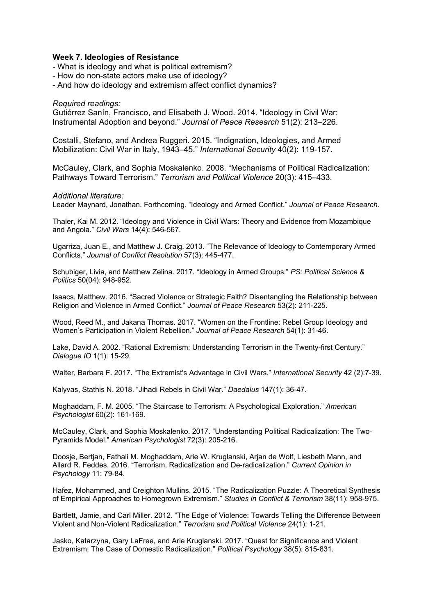### **Week 7. Ideologies of Resistance**

- What is ideology and what is political extremism?
- How do non-state actors make use of ideology?
- And how do ideology and extremism affect conflict dynamics?

### *Required readings:*

Gutiérrez Sanín, Francisco, and Elisabeth J. Wood. 2014. "Ideology in Civil War: Instrumental Adoption and beyond." *Journal of Peace Research* 51(2): 213–226.

Costalli, Stefano, and Andrea Ruggeri. 2015. "Indignation, Ideologies, and Armed Mobilization: Civil War in Italy, 1943–45." *International Security* 40(2): 119-157.

McCauley, Clark, and Sophia Moskalenko. 2008. "Mechanisms of Political Radicalization: Pathways Toward Terrorism." *Terrorism and Political Violence* 20(3): 415–433.

#### *Additional literature:*

Leader Maynard, Jonathan. Forthcoming. "Ideology and Armed Conflict." *Journal of Peace Research*.

Thaler, Kai M. 2012. "Ideology and Violence in Civil Wars: Theory and Evidence from Mozambique and Angola." *Civil Wars* 14(4): 546-567.

Ugarriza, Juan E., and Matthew J. Craig. 2013. "The Relevance of Ideology to Contemporary Armed Conflicts." *Journal of Conflict Resolution* 57(3): 445-477.

Schubiger, Livia, and Matthew Zelina. 2017. "Ideology in Armed Groups." *PS: Political Science & Politics* 50(04): 948-952.

Isaacs, Matthew. 2016. "Sacred Violence or Strategic Faith? Disentangling the Relationship between Religion and Violence in Armed Conflict." *Journal of Peace Research* 53(2): 211-225.

Wood, Reed M., and Jakana Thomas. 2017. "Women on the Frontline: Rebel Group Ideology and Women's Participation in Violent Rebellion." *Journal of Peace Research* 54(1): 31-46.

Lake, David A. 2002. "Rational Extremism: Understanding Terrorism in the Twenty-first Century." *Dialogue IO* 1(1): 15-29.

Walter, Barbara F. 2017. "The Extremist's Advantage in Civil Wars." *International Security* 42 (2):7-39.

Kalyvas, Stathis N. 2018. "Jihadi Rebels in Civil War." *Daedalus* 147(1): 36-47.

Moghaddam, F. M. 2005. "The Staircase to Terrorism: A Psychological Exploration." *American Psychologist* 60(2): 161-169.

McCauley, Clark, and Sophia Moskalenko. 2017. "Understanding Political Radicalization: The Two-Pyramids Model." *American Psychologist* 72(3): 205-216.

Doosje, Bertjan, Fathali M. Moghaddam, Arie W. Kruglanski, Arjan de Wolf, Liesbeth Mann, and Allard R. Feddes. 2016. "Terrorism, Radicalization and De-radicalization." *Current Opinion in Psychology* 11: 79-84.

Hafez, Mohammed, and Creighton Mullins. 2015. "The Radicalization Puzzle: A Theoretical Synthesis of Empirical Approaches to Homegrown Extremism." *Studies in Conflict & Terrorism* 38(11): 958-975.

Bartlett, Jamie, and Carl Miller. 2012. "The Edge of Violence: Towards Telling the Difference Between Violent and Non-Violent Radicalization." *Terrorism and Political Violence* 24(1): 1-21.

Jasko, Katarzyna, Gary LaFree, and Arie Kruglanski. 2017. "Quest for Significance and Violent Extremism: The Case of Domestic Radicalization." *Political Psychology* 38(5): 815-831.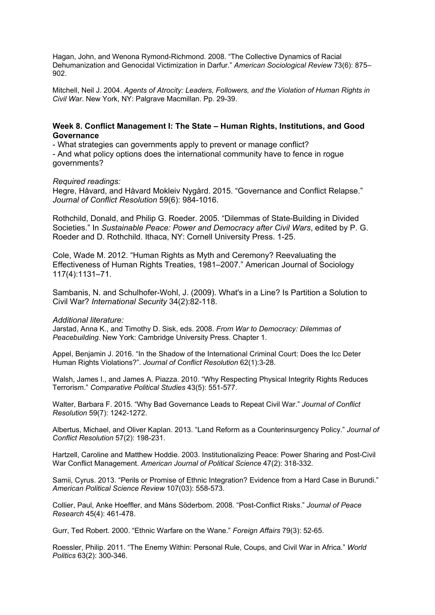Hagan, John, and Wenona Rymond-Richmond. 2008. "The Collective Dynamics of Racial Dehumanization and Genocidal Victimization in Darfur." *American Sociological Review* 73(6): 875– 902.

Mitchell, Neil J. 2004. *Agents of Atrocity: Leaders, Followers, and the Violation of Human Rights in Civil War*. New York, NY: Palgrave Macmillan. Pp. 29-39.

# **Week 8. Conflict Management I: The State – Human Rights, Institutions, and Good Governance**

- What strategies can governments apply to prevent or manage conflict? - And what policy options does the international community have to fence in rogue governments?

### *Required readings:*

Hegre, Håvard, and Håvard Mokleiv Nygård. 2015. "Governance and Conflict Relapse." *Journal of Conflict Resolution* 59(6): 984-1016.

Rothchild, Donald, and Philip G. Roeder. 2005. "Dilemmas of State-Building in Divided Societies." In *Sustainable Peace: Power and Democracy after Civil Wars*, edited by P. G. Roeder and D. Rothchild. Ithaca, NY: Cornell University Press. 1-25.

Cole, Wade M. 2012. "Human Rights as Myth and Ceremony? Reevaluating the Effectiveness of Human Rights Treaties, 1981–2007." American Journal of Sociology 117(4):1131–71.

Sambanis, N. and Schulhofer-Wohl, J. (2009). What's in a Line? Is Partition a Solution to Civil War? *International Security* 34(2):82-118.

### *Additional literature:*

Jarstad, Anna K., and Timothy D. Sisk, eds. 2008. *From War to Democracy: Dilemmas of Peacebuilding*. New York: Cambridge University Press. Chapter 1.

Appel, Benjamin J. 2016. "In the Shadow of the International Criminal Court: Does the Icc Deter Human Rights Violations?". *Journal of Conflict Resolution* 62(1):3-28.

Walsh, James I., and James A. Piazza. 2010. "Why Respecting Physical Integrity Rights Reduces Terrorism." *Comparative Political Studies* 43(5): 551-577.

Walter, Barbara F. 2015. "Why Bad Governance Leads to Repeat Civil War." *Journal of Conflict Resolution* 59(7): 1242-1272.

Albertus, Michael, and Oliver Kaplan. 2013. "Land Reform as a Counterinsurgency Policy." *Journal of Conflict Resolution* 57(2): 198-231.

Hartzell, Caroline and Matthew Hoddie. 2003. Institutionalizing Peace: Power Sharing and Post-Civil War Conflict Management. *American Journal of Political Science* 47(2): 318-332.

Samii, Cyrus. 2013. "Perils or Promise of Ethnic Integration? Evidence from a Hard Case in Burundi." *American Political Science Review* 107(03): 558-573.

Collier, Paul, Anke Hoeffler, and Måns Söderbom. 2008. "Post-Conflict Risks." *Journal of Peace Research* 45(4): 461-478.

Gurr, Ted Robert. 2000. "Ethnic Warfare on the Wane." *Foreign Affairs* 79(3): 52-65.

Roessler, Philip. 2011. "The Enemy Within: Personal Rule, Coups, and Civil War in Africa." *World Politics* 63(2): 300-346.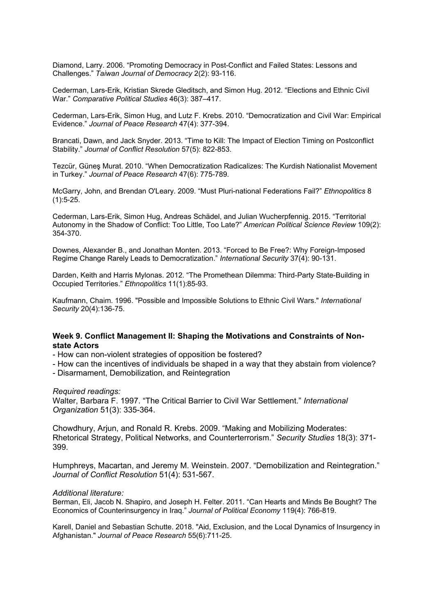Diamond, Larry. 2006. "Promoting Democracy in Post-Conflict and Failed States: Lessons and Challenges." *Taiwan Journal of Democracy* 2(2): 93-116.

Cederman, Lars-Erik, Kristian Skrede Gleditsch, and Simon Hug. 2012. "Elections and Ethnic Civil War." *Comparative Political Studies* 46(3): 387–417.

Cederman, Lars-Erik, Simon Hug, and Lutz F. Krebs. 2010. "Democratization and Civil War: Empirical Evidence." *Journal of Peace Research* 47(4): 377-394.

Brancati, Dawn, and Jack Snyder. 2013. "Time to Kill: The Impact of Election Timing on Postconflict Stability." *Journal of Conflict Resolution* 57(5): 822-853.

Tezcür, Güneş Murat. 2010. "When Democratization Radicalizes: The Kurdish Nationalist Movement in Turkey." *Journal of Peace Research* 47(6): 775-789.

McGarry, John, and Brendan O'Leary. 2009. "Must Pluri-national Federations Fail?" *Ethnopolitics* 8  $(1):5-25.$ 

Cederman, Lars-Erik, Simon Hug, Andreas Schädel, and Julian Wucherpfennig. 2015. "Territorial Autonomy in the Shadow of Conflict: Too Little, Too Late?" *American Political Science Review* 109(2): 354-370.

Downes, Alexander B., and Jonathan Monten. 2013. "Forced to Be Free?: Why Foreign-Imposed Regime Change Rarely Leads to Democratization." *International Security* 37(4): 90-131.

Darden, Keith and Harris Mylonas. 2012. "The Promethean Dilemma: Third-Party State-Building in Occupied Territories." *Ethnopolitics* 11(1):85-93.

Kaufmann, Chaim. 1996. "Possible and Impossible Solutions to Ethnic Civil Wars." *International Security* 20(4):136-75.

### **Week 9. Conflict Management II: Shaping the Motivations and Constraints of Nonstate Actors**

- How can non-violent strategies of opposition be fostered?

- How can the incentives of individuals be shaped in a way that they abstain from violence?

- Disarmament, Demobilization, and Reintegration

*Required readings:*

Walter, Barbara F. 1997. "The Critical Barrier to Civil War Settlement." *International Organization* 51(3): 335-364.

Chowdhury, Arjun, and Ronald R. Krebs. 2009. "Making and Mobilizing Moderates: Rhetorical Strategy, Political Networks, and Counterterrorism." *Security Studies* 18(3): 371- 399.

Humphreys, Macartan, and Jeremy M. Weinstein. 2007. "Demobilization and Reintegration." *Journal of Conflict Resolution* 51(4): 531-567.

### *Additional literature:*

Berman, Eli, Jacob N. Shapiro, and Joseph H. Felter. 2011. "Can Hearts and Minds Be Bought? The Economics of Counterinsurgency in Iraq." *Journal of Political Economy* 119(4): 766-819.

Karell, Daniel and Sebastian Schutte. 2018. "Aid, Exclusion, and the Local Dynamics of Insurgency in Afghanistan." *Journal of Peace Research* 55(6):711-25.